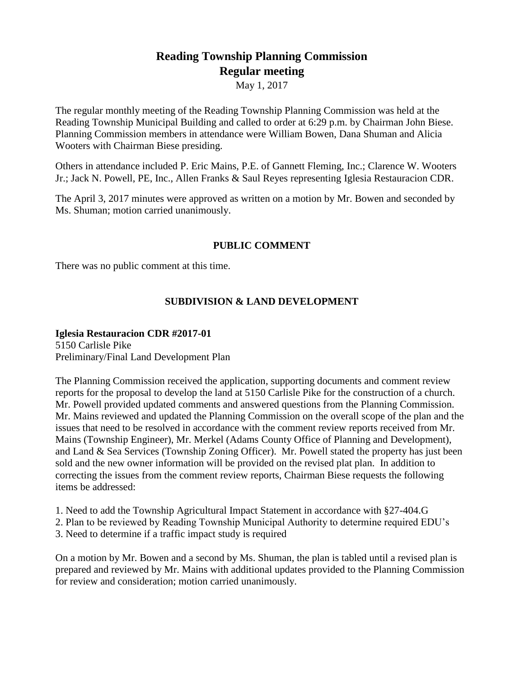# **Reading Township Planning Commission Regular meeting**

May 1, 2017

The regular monthly meeting of the Reading Township Planning Commission was held at the Reading Township Municipal Building and called to order at 6:29 p.m. by Chairman John Biese. Planning Commission members in attendance were William Bowen, Dana Shuman and Alicia Wooters with Chairman Biese presiding.

Others in attendance included P. Eric Mains, P.E. of Gannett Fleming, Inc.; Clarence W. Wooters Jr.; Jack N. Powell, PE, Inc., Allen Franks & Saul Reyes representing Iglesia Restauracion CDR.

The April 3, 2017 minutes were approved as written on a motion by Mr. Bowen and seconded by Ms. Shuman; motion carried unanimously.

## **PUBLIC COMMENT**

There was no public comment at this time.

# **SUBDIVISION & LAND DEVELOPMENT**

#### **Iglesia Restauracion CDR #2017-01**

5150 Carlisle Pike Preliminary/Final Land Development Plan

The Planning Commission received the application, supporting documents and comment review reports for the proposal to develop the land at 5150 Carlisle Pike for the construction of a church. Mr. Powell provided updated comments and answered questions from the Planning Commission. Mr. Mains reviewed and updated the Planning Commission on the overall scope of the plan and the issues that need to be resolved in accordance with the comment review reports received from Mr. Mains (Township Engineer), Mr. Merkel (Adams County Office of Planning and Development), and Land & Sea Services (Township Zoning Officer). Mr. Powell stated the property has just been sold and the new owner information will be provided on the revised plat plan. In addition to correcting the issues from the comment review reports, Chairman Biese requests the following items be addressed:

- 1. Need to add the Township Agricultural Impact Statement in accordance with §27-404.G
- 2. Plan to be reviewed by Reading Township Municipal Authority to determine required EDU's
- 3. Need to determine if a traffic impact study is required

On a motion by Mr. Bowen and a second by Ms. Shuman, the plan is tabled until a revised plan is prepared and reviewed by Mr. Mains with additional updates provided to the Planning Commission for review and consideration; motion carried unanimously.